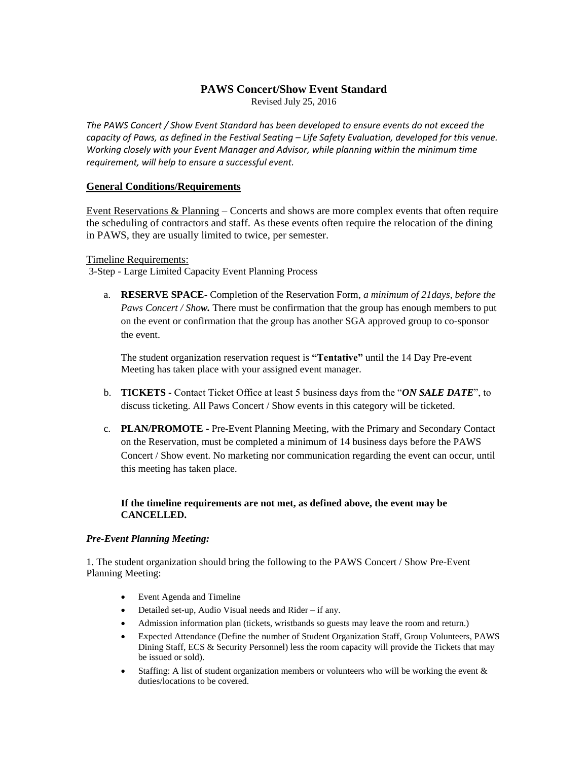# **PAWS Concert/Show Event Standard**

Revised July 25, 2016

*The PAWS Concert / Show Event Standard has been developed to ensure events do not exceed the capacity of Paws, as defined in the Festival Seating – Life Safety Evaluation, developed for this venue. Working closely with your Event Manager and Advisor, while planning within the minimum time requirement, will help to ensure a successful event.*

#### **General Conditions/Requirements**

Event Reservations & Planning – Concerts and shows are more complex events that often require the scheduling of contractors and staff. As these events often require the relocation of the dining in PAWS, they are usually limited to twice, per semester.

Timeline Requirements:

3-Step - Large Limited Capacity Event Planning Process

a. **RESERVE SPACE-** Completion of the Reservation Form, *a minimum of 21days, before the Paws Concert / Show.* There must be confirmation that the group has enough members to put on the event or confirmation that the group has another SGA approved group to co-sponsor the event.

The student organization reservation request is **"Tentative"** until the 14 Day Pre-event Meeting has taken place with your assigned event manager.

- b. **TICKETS -** Contact Ticket Office at least 5 business days from the "*ON SALE DATE*", to discuss ticketing. All Paws Concert / Show events in this category will be ticketed.
- c. **PLAN/PROMOTE -** Pre-Event Planning Meeting, with the Primary and Secondary Contact on the Reservation, must be completed a minimum of 14 business days before the PAWS Concert / Show event. No marketing nor communication regarding the event can occur, until this meeting has taken place.

# **If the timeline requirements are not met, as defined above, the event may be CANCELLED.**

#### *Pre-Event Planning Meeting:*

1. The student organization should bring the following to the PAWS Concert / Show Pre-Event Planning Meeting:

- Event Agenda and Timeline
- Detailed set-up, Audio Visual needs and Rider if any.
- Admission information plan (tickets, wristbands so guests may leave the room and return.)
- Expected Attendance (Define the number of Student Organization Staff, Group Volunteers, PAWS Dining Staff, ECS & Security Personnel) less the room capacity will provide the Tickets that may be issued or sold).
- Staffing: A list of student organization members or volunteers who will be working the event  $\&$ duties/locations to be covered.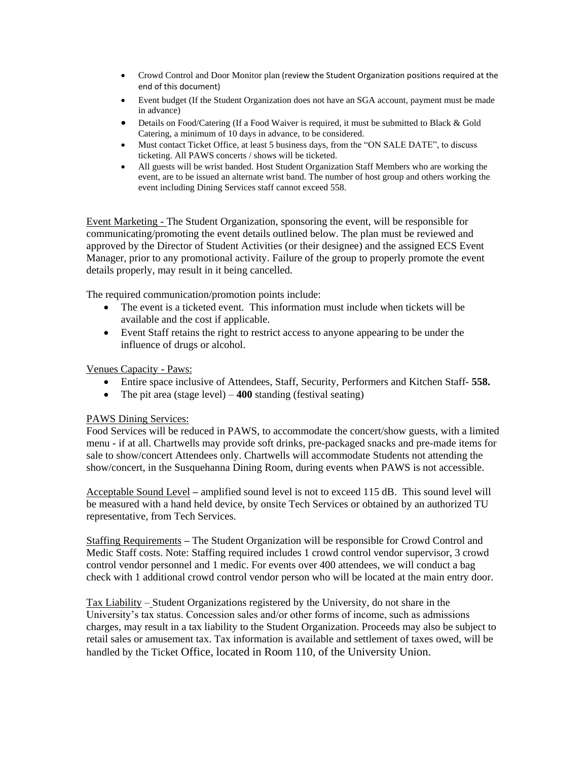- Crowd Control and Door Monitor plan (review the Student Organization positions required at the end of this document)
- Event budget (If the Student Organization does not have an SGA account, payment must be made in advance)
- Details on Food/Catering (If a Food Waiver is required, it must be submitted to Black & Gold Catering, a minimum of 10 days in advance, to be considered.
- Must contact Ticket Office, at least 5 business days, from the "ON SALE DATE", to discuss ticketing. All PAWS concerts / shows will be ticketed.
- All guests will be wrist banded. Host Student Organization Staff Members who are working the event, are to be issued an alternate wrist band. The number of host group and others working the event including Dining Services staff cannot exceed 558.

Event Marketing - The Student Organization, sponsoring the event, will be responsible for communicating/promoting the event details outlined below. The plan must be reviewed and approved by the Director of Student Activities (or their designee) and the assigned ECS Event Manager, prior to any promotional activity. Failure of the group to properly promote the event details properly, may result in it being cancelled.

The required communication/promotion points include:

- The event is a ticketed event. This information must include when tickets will be available and the cost if applicable.
- Event Staff retains the right to restrict access to anyone appearing to be under the influence of drugs or alcohol.

Venues Capacity - Paws:

- Entire space inclusive of Attendees, Staff, Security, Performers and Kitchen Staff- **558.**
- The pit area (stage level) **400** standing (festival seating)

# PAWS Dining Services:

Food Services will be reduced in PAWS, to accommodate the concert/show guests, with a limited menu - if at all. Chartwells may provide soft drinks, pre-packaged snacks and pre-made items for sale to show/concert Attendees only. Chartwells will accommodate Students not attending the show/concert, in the Susquehanna Dining Room, during events when PAWS is not accessible.

Acceptable Sound Level **–** amplified sound level is not to exceed 115 dB. This sound level will be measured with a hand held device, by onsite Tech Services or obtained by an authorized TU representative, from Tech Services.

Staffing Requirements **–** The Student Organization will be responsible for Crowd Control and Medic Staff costs. Note: Staffing required includes 1 crowd control vendor supervisor, 3 crowd control vendor personnel and 1 medic. For events over 400 attendees, we will conduct a bag check with 1 additional crowd control vendor person who will be located at the main entry door.

Tax Liability – Student Organizations registered by the University, do not share in the University's tax status. Concession sales and/or other forms of income, such as admissions charges, may result in a tax liability to the Student Organization. Proceeds may also be subject to retail sales or amusement tax. Tax information is available and settlement of taxes owed, will be handled by the Ticket Office, located in Room 110, of the University Union.